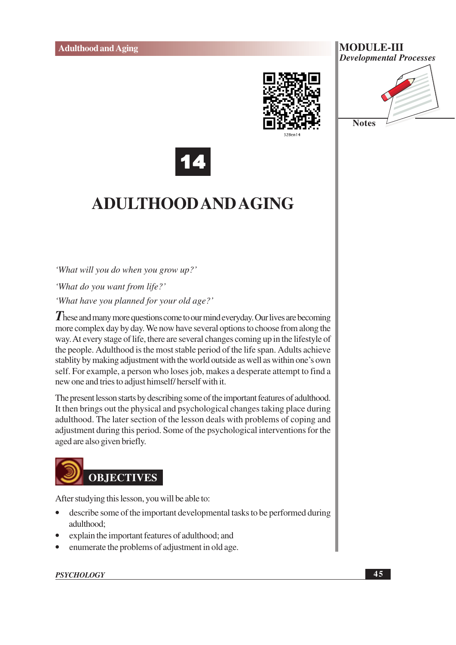



**Notes** 



## **ADULTHOOD AND AGING**

'What will you do when you grow up?'

'What do you want from life?'

'What have you planned for your old age?'

These and many more questions come to our mind everyday. Our lives are becoming more complex day by day. We now have several options to choose from along the way. At every stage of life, there are several changes coming up in the lifestyle of the people. Adulthood is the most stable period of the life span. Adults achieve stablity by making adjustment with the world outside as well as within one's own self. For example, a person who loses job, makes a desperate attempt to find a new one and tries to adjust himself/herself with it.

The present lesson starts by describing some of the important features of adulthood. It then brings out the physical and psychological changes taking place during adulthood. The later section of the lesson deals with problems of coping and adjustment during this period. Some of the psychological interventions for the aged are also given briefly.



After studying this lesson, you will be able to:

- describe some of the important developmental tasks to be performed during adulthood:
- explain the important features of adulthood; and
- enumerate the problems of adjustment in old age.

#### **PSYCHOLOGY**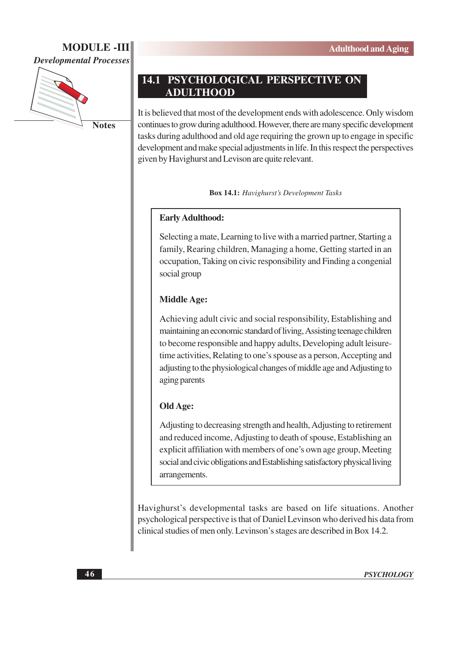

**Notes** 

## **14.1 PSYCHOLOGICAL PERSPECTIVE ON ADULTHOOD**

It is believed that most of the development ends with adolescence. Only wisdom continues to grow during adulthood. However, there are many specific development tasks during adulthood and old age requiring the grown up to engage in specific development and make special adjustments in life. In this respect the perspectives given by Havighurst and Levison are quite relevant.

**Box 14.1:** Havighurst's Development Tasks

## **Early Adulthood:**

Selecting a mate, Learning to live with a married partner, Starting a family, Rearing children, Managing a home, Getting started in an occupation, Taking on civic responsibility and Finding a congenial social group

## **Middle Age:**

Achieving adult civic and social responsibility, Establishing and maintaining an economic standard of living, Assisting teenage children to become responsible and happy adults, Developing adult leisuretime activities, Relating to one's spouse as a person, Accepting and adjusting to the physiological changes of middle age and Adjusting to aging parents

## **Old Age:**

Adjusting to decreasing strength and health, Adjusting to retirement and reduced income, Adjusting to death of spouse, Establishing an explicit affiliation with members of one's own age group, Meeting social and civic obligations and Establishing satisfactory physical living arrangements.

Havighurst's developmental tasks are based on life situations. Another psychological perspective is that of Daniel Levinson who derived his data from clinical studies of men only. Levinson's stages are described in Box 14.2.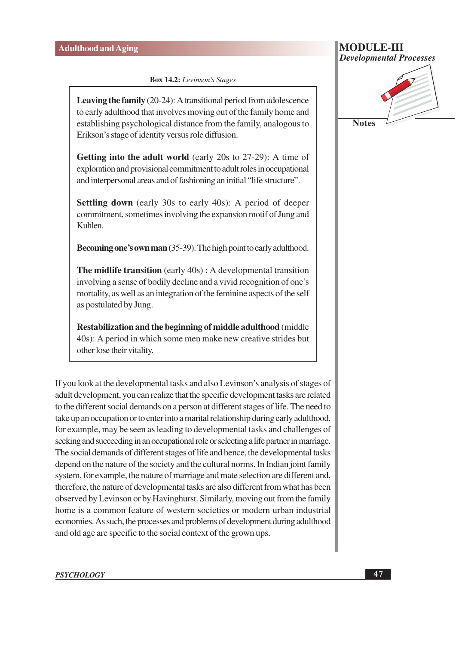**Box 14.2:** Levinson's Stages

**Leaving the family**  $(20-24)$ : A transitional period from adolescence to early adulthood that involves moving out of the family home and establishing psychological distance from the family, analogous to Erikson's stage of identity versus role diffusion.

**Getting into the adult world** (early 20s to 27-29): A time of exploration and provisional commitment to adult roles in occupational and interpersonal areas and of fashioning an initial "life structure".

**Settling down** (early 30s to early 40s): A period of deeper commitment, sometimes involving the expansion motif of Jung and Kuhlen.

**Becoming one's own man** (35-39): The high point to early adulthood.

**The midlife transition** (early  $40s$ ): A developmental transition involving a sense of bodily decline and a vivid recognition of one's mortality, as well as an integration of the feminine aspects of the self as postulated by Jung.

Restabilization and the beginning of middle adulthood (middle 40s): A period in which some men make new creative strides but other lose their vitality.

If you look at the developmental tasks and also Levinson's analysis of stages of adult development, you can realize that the specific development tasks are related to the different social demands on a person at different stages of life. The need to take up an occupation or to enter into a marital relationship during early adulthood, for example, may be seen as leading to developmental tasks and challenges of seeking and succeeding in an occupational role or selecting a life partner in marriage. The social demands of different stages of life and hence, the developmental tasks depend on the nature of the society and the cultural norms. In Indian joint family system, for example, the nature of marriage and mate selection are different and, therefore, the nature of developmental tasks are also different from what has been observed by Levinson or by Havinghurst. Similarly, moving out from the family home is a common feature of western societies or modern urban industrial economies. As such, the processes and problems of development during adulthood and old age are specific to the social context of the grown ups.

**MODULE-III**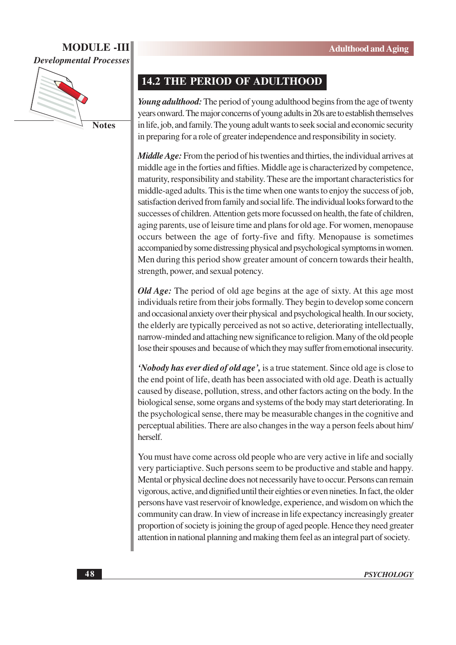

**Notes** 

## **14.2 THE PERIOD OF ADULTHOOD**

Young adulthood: The period of young adulthood begins from the age of twenty years onward. The major concerns of young adults in 20s are to establish themselves in life, job, and family. The young adult wants to seek social and economic security in preparing for a role of greater independence and responsibility in society.

*Middle Age:* From the period of his twenties and thirties, the individual arrives at middle age in the forties and fifties. Middle age is characterized by competence, maturity, responsibility and stability. These are the important characteristics for middle-aged adults. This is the time when one wants to enjoy the success of job, satisfaction derived from family and social life. The individual looks forward to the successes of children. Attention gets more focussed on health, the fate of children, aging parents, use of leisure time and plans for old age. For women, menopause occurs between the age of forty-five and fifty. Menopause is sometimes accompanied by some distressing physical and psychological symptoms in women. Men during this period show greater amount of concern towards their health, strength, power, and sexual potency.

*Old Age:* The period of old age begins at the age of sixty. At this age most individuals retire from their jobs formally. They begin to develop some concern and occasional anxiety over their physical and psychological health. In our society, the elderly are typically perceived as not so active, deteriorating intellectually, narrow-minded and attaching new significance to religion. Many of the old people lose their spouses and because of which they may suffer from emotional insecurity.

'Nobody has ever died of old age', is a true statement. Since old age is close to the end point of life, death has been associated with old age. Death is actually caused by disease, pollution, stress, and other factors acting on the body. In the biological sense, some organs and systems of the body may start deteriorating. In the psychological sense, there may be measurable changes in the cognitive and perceptual abilities. There are also changes in the way a person feels about him/ herself.

You must have come across old people who are very active in life and socially very particiaptive. Such persons seem to be productive and stable and happy. Mental or physical decline does not necessarily have to occur. Persons can remain vigorous, active, and dignified until their eighties or even nineties. In fact, the older persons have vast reservoir of knowledge, experience, and wisdom on which the community can draw. In view of increase in life expectancy increasingly greater proportion of society is joining the group of aged people. Hence they need greater attention in national planning and making them feel as an integral part of society.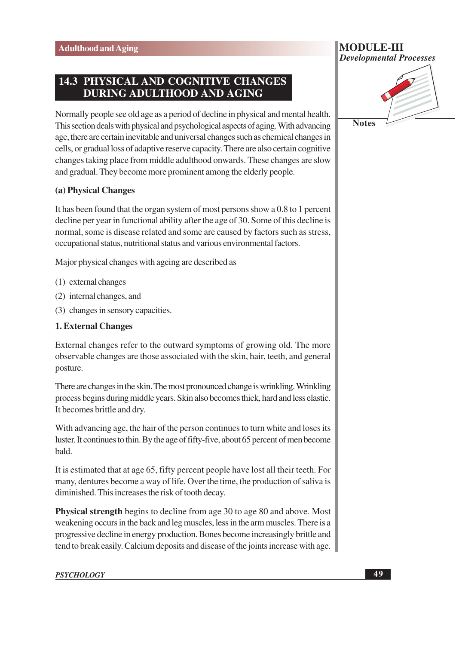## **14.3 PHYSICAL AND COGNITIVE CHANGES DURING ADULTHOOD AND AGING**

Normally people see old age as a period of decline in physical and mental health. This section deals with physical and psychological aspects of aging. With advancing age, there are certain inevitable and universal changes such as chemical changes in cells, or gradual loss of adaptive reserve capacity. There are also certain cognitive changes taking place from middle adulthood onwards. These changes are slow and gradual. They become more prominent among the elderly people.

### (a) Physical Changes

It has been found that the organ system of most persons show a 0.8 to 1 percent decline per year in functional ability after the age of 30. Some of this decline is normal, some is disease related and some are caused by factors such as stress, occupational status, nutritional status and various environmental factors.

Major physical changes with ageing are described as

- (1) external changes
- (2) internal changes, and
- (3) changes in sensory capacities.

#### **1. External Changes**

External changes refer to the outward symptoms of growing old. The more observable changes are those associated with the skin, hair, teeth, and general posture.

There are changes in the skin. The most pronounced change is wrinkling. Wrinkling process begins during middle years. Skin also becomes thick, hard and less elastic. It becomes brittle and dry.

With advancing age, the hair of the person continues to turn white and loses its luster. It continues to thin. By the age of fifty-five, about 65 percent of men become bald.

It is estimated that at age 65, fifty percent people have lost all their teeth. For many, dentures become a way of life. Over the time, the production of saliva is diminished. This increases the risk of tooth decay.

**Physical strength** begins to decline from age 30 to age 80 and above. Most weakening occurs in the back and leg muscles, less in the arm muscles. There is a progressive decline in energy production. Bones become increasingly brittle and tend to break easily. Calcium deposits and disease of the joints increase with age.



**Notes**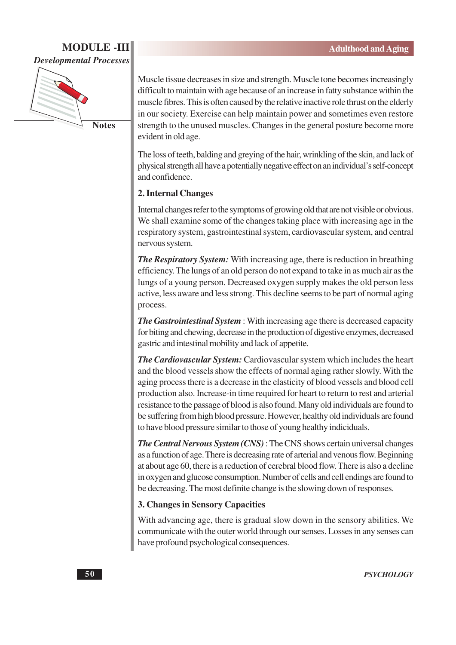

**Notes** 

Muscle tissue decreases in size and strength. Muscle tone becomes increasingly difficult to maintain with age because of an increase in fatty substance within the muscle fibres. This is often caused by the relative inactive role thrust on the elderly in our society. Exercise can help maintain power and sometimes even restore strength to the unused muscles. Changes in the general posture become more evident in old age.

The loss of teeth, balding and greying of the hair, wrinkling of the skin, and lack of physical strength all have a potentially negative effect on an individual's self-concept and confidence.

## 2. Internal Changes

Internal changes refer to the symptoms of growing old that are not visible or obvious. We shall examine some of the changes taking place with increasing age in the respiratory system, gastrointestinal system, cardiovascular system, and central nervous system.

**The Respiratory System:** With increasing age, there is reduction in breathing efficiency. The lungs of an old person do not expand to take in as much air as the lungs of a young person. Decreased oxygen supply makes the old person less active, less aware and less strong. This decline seems to be part of normal aging process.

**The Gastrointestinal System**: With increasing age there is decreased capacity for biting and chewing, decrease in the production of digestive enzymes, decreased gastric and intestinal mobility and lack of appetite.

The Cardiovascular System: Cardiovascular system which includes the heart and the blood vessels show the effects of normal aging rather slowly. With the aging process there is a decrease in the elasticity of blood vessels and blood cell production also. Increase-in time required for heart to return to rest and arterial resistance to the passage of blood is also found. Many old individuals are found to be suffering from high blood pressure. However, healthy old individuals are found to have blood pressure similar to those of young healthy indiciduals.

**The Central Nervous System (CNS):** The CNS shows certain universal changes as a function of age. There is decreasing rate of arterial and venous flow. Beginning at about age 60, there is a reduction of cerebral blood flow. There is also a decline in oxygen and glucose consumption. Number of cells and cell endings are found to be decreasing. The most definite change is the slowing down of responses.

### 3. Changes in Sensory Capacities

With advancing age, there is gradual slow down in the sensory abilities. We communicate with the outer world through our senses. Losses in any senses can have profound psychological consequences.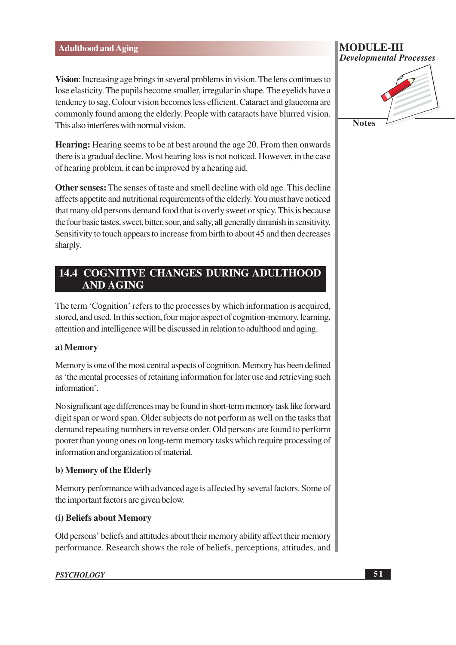Vision: Increasing age brings in several problems in vision. The lens continues to lose elasticity. The pupils become smaller, irregular in shape. The eyelids have a tendency to sag. Colour vision becomes less efficient. Cataract and glaucoma are commonly found among the elderly. People with cataracts have blurred vision. This also interferes with normal vision

**Hearing:** Hearing seems to be at best around the age 20. From then onwards there is a gradual decline. Most hearing loss is not noticed. However, in the case of hearing problem, it can be improved by a hearing aid.

Other senses: The senses of taste and smell decline with old age. This decline affects appetite and nutritional requirements of the elderly. You must have noticed that many old persons demand food that is overly sweet or spicy. This is because the four basic tastes, sweet, bitter, sour, and salty, all generally diminish in sensitivity. Sensitivity to touch appears to increase from birth to about 45 and then decreases sharply.

## **14.4 COGNITIVE CHANGES DURING ADULTHOOD AND AGING**

The term 'Cognition' refers to the processes by which information is acquired, stored, and used. In this section, four major aspect of cognition-memory, learning, attention and intelligence will be discussed in relation to adulthood and aging.

## a) Memory

Memory is one of the most central aspects of cognition. Memory has been defined as 'the mental processes of retaining information for later use and retrieving such information'.

No significant age differences may be found in short-term memory task like forward digit span or word span. Older subjects do not perform as well on the tasks that demand repeating numbers in reverse order. Old persons are found to perform poorer than young ones on long-term memory tasks which require processing of information and organization of material.

## b) Memory of the Elderly

Memory performance with advanced age is affected by several factors. Some of the important factors are given below.

## (i) Beliefs about Memory

Old persons' beliefs and attitudes about their memory ability affect their memory performance. Research shows the role of beliefs, perceptions, attitudes, and

#### **PSYCHOLOGY**

## MODULE-III **Developmental Processes**

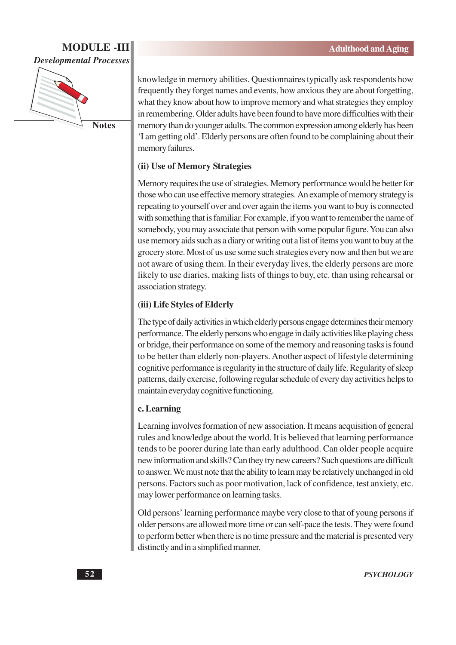

**Notes** 

knowledge in memory abilities. Questionnaires typically ask respondents how frequently they forget names and events, how anxious they are about forgetting, what they know about how to improve memory and what strategies they employ in remembering. Older adults have been found to have more difficulties with their memory than do younger adults. The common expression among elderly has been 'I am getting old'. Elderly persons are often found to be complaining about their memory failures.

## (ii) Use of Memory Strategies

Memory requires the use of strategies. Memory performance would be better for those who can use effective memory strategies. An example of memory strategy is repeating to yourself over and over again the items you want to buy is connected with something that is familiar. For example, if you want to remember the name of somebody, you may associate that person with some popular figure. You can also use memory aids such as a diary or writing out a list of items you want to buy at the grocery store. Most of us use some such strategies every now and then but we are not aware of using them. In their everyday lives, the elderly persons are more likely to use diaries, making lists of things to buy, etc. than using rehearsal or association strategy.

## (iii) Life Styles of Elderly

The type of daily activities in which elderly persons engage determines their memory performance. The elderly persons who engage in daily activities like playing chess or bridge, their performance on some of the memory and reasoning tasks is found to be better than elderly non-players. Another aspect of lifestyle determining cognitive performance is regularity in the structure of daily life. Regularity of sleep patterns, daily exercise, following regular schedule of every day activities helps to maintain everyday cognitive functioning.

### c. Learning

Learning involves formation of new association. It means acquisition of general rules and knowledge about the world. It is believed that learning performance tends to be poorer during late than early adulthood. Can older people acquire new information and skills? Can they try new careers? Such questions are difficult to answer. We must note that the ability to learn may be relatively unchanged in old persons. Factors such as poor motivation, lack of confidence, test anxiety, etc. may lower performance on learning tasks.

Old persons' learning performance maybe very close to that of young persons if older persons are allowed more time or can self-pace the tests. They were found to perform better when there is no time pressure and the material is presented very distinctly and in a simplified manner.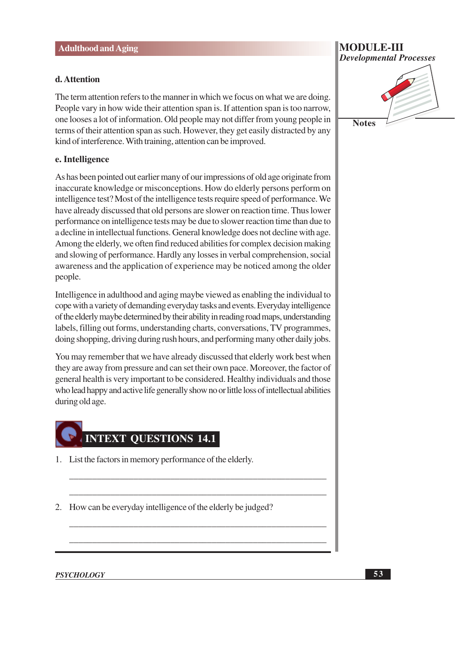#### d. Attention

The term attention refers to the manner in which we focus on what we are doing. People vary in how wide their attention span is. If attention span is too narrow, one looses a lot of information. Old people may not differ from young people in terms of their attention span as such. However, they get easily distracted by any kind of interference. With training, attention can be improved.

#### e. Intelligence

As has been pointed out earlier many of our impressions of old age originate from inaccurate knowledge or misconceptions. How do elderly persons perform on intelligence test? Most of the intelligence tests require speed of performance. We have already discussed that old persons are slower on reaction time. Thus lower performance on intelligence tests may be due to slower reaction time than due to a decline in intellectual functions. General knowledge does not decline with age. Among the elderly, we often find reduced abilities for complex decision making and slowing of performance. Hardly any losses in verbal comprehension, social awareness and the application of experience may be noticed among the older people.

Intelligence in adulthood and aging maybe viewed as enabling the individual to cope with a variety of demanding everyday tasks and events. Everyday intelligence of the elderly maybe determined by their ability in reading road maps, understanding labels, filling out forms, understanding charts, conversations, TV programmes, doing shopping, driving during rush hours, and performing many other daily jobs.

You may remember that we have already discussed that elderly work best when they are away from pressure and can set their own pace. Moreover, the factor of general health is very important to be considered. Healthy individuals and those who lead happy and active life generally show no or little loss of intellectual abilities during old age.

# **INTEXT QUESTIONS 14.1**

- 1. List the factors in memory performance of the elderly.
- 2. How can be everyday intelligence of the elderly be judged?

#### **PSYCHOLOGY**



**Notes** 

53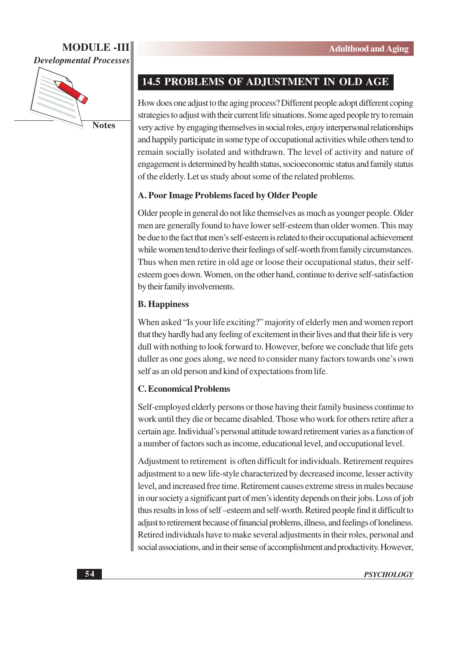

**Notes** 

## 14.5 PROBLEMS OF ADJUSTMENT IN OLD AGE

How does one adjust to the aging process? Different people adopt different coping strategies to adjust with their current life situations. Some aged people try to remain very active by engaging themselves in social roles, enjoy interpersonal relationships and happily participate in some type of occupational activities while others tend to remain socially isolated and withdrawn. The level of activity and nature of engagement is determined by health status, socioeconomic status and family status of the elderly. Let us study about some of the related problems.

#### A. Poor Image Problems faced by Older People

Older people in general do not like themselves as much as younger people. Older men are generally found to have lower self-esteem than older women. This may be due to the fact that men's self-esteem is related to their occupational achievement while women tend to derive their feelings of self-worth from family circumstances. Thus when men retire in old age or loose their occupational status, their selfesteem goes down. Women, on the other hand, continue to derive self-satisfaction by their family involvements.

#### **B.** Happiness

When asked "Is your life exciting?" majority of elderly men and women report that they hardly had any feeling of excitement in their lives and that their life is very dull with nothing to look forward to. However, before we conclude that life gets duller as one goes along, we need to consider many factors towards one's own self as an old person and kind of expectations from life.

#### **C. Economical Problems**

Self-employed elderly persons or those having their family business continue to work until they die or became disabled. Those who work for others retire after a certain age. Individual's personal attitude toward retirement varies as a function of a number of factors such as income, educational level, and occupational level.

Adjustment to retirement is often difficult for individuals. Retirement requires adjustment to a new life-style characterized by decreased income, lesser activity level, and increased free time. Retirement causes extreme stress in males because in our society a significant part of men's identity depends on their jobs. Loss of job thus results in loss of self-esteem and self-worth. Retired people find it difficult to adjust to retirement because of financial problems, illness, and feelings of loneliness. Retired individuals have to make several adjustments in their roles, personal and social associations, and in their sense of accomplishment and productivity. However,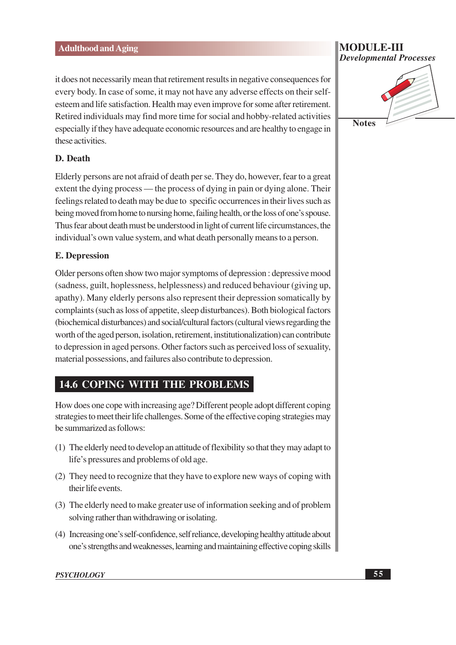it does not necessarily mean that retirement results in negative consequences for every body. In case of some, it may not have any adverse effects on their selfesteem and life satisfaction. Health may even improve for some after retirement. Retired individuals may find more time for social and hobby-related activities especially if they have adequate economic resources and are healthy to engage in these activities.

#### D. Death

Elderly persons are not afraid of death per se. They do, however, fear to a great extent the dying process — the process of dying in pain or dying alone. Their feelings related to death may be due to specific occurrences in their lives such as being moved from home to nursing home, failing health, or the loss of one's spouse. Thus fear about death must be understood in light of current life circumstances, the individual's own value system, and what death personally means to a person.

### **E.** Depression

Older persons often show two major symptoms of depression : depressive mood (sadness, guilt, hoplessness, helplessness) and reduced behaviour (giving up, apathy). Many elderly persons also represent their depression somatically by complaints (such as loss of appetite, sleep disturbances). Both biological factors (biochemical disturbances) and social/cultural factors (cultural views regarding the worth of the aged person, isolation, retirement, institutionalization) can contribute to depression in aged persons. Other factors such as perceived loss of sexuality, material possessions, and failures also contribute to depression.

## **14.6 COPING WITH THE PROBLEMS**

How does one cope with increasing age? Different people adopt different coping strategies to meet their life challenges. Some of the effective coping strategies may be summarized as follows:

- (1) The elderly need to develop an attitude of flexibility so that they may adapt to life's pressures and problems of old age.
- (2) They need to recognize that they have to explore new ways of coping with their life events.
- (3) The elderly need to make greater use of information seeking and of problem solving rather than withdrawing or isolating.
- (4) Increasing one's self-confidence, self reliance, developing healthy attitude about one's strengths and weaknesses, learning and maintaining effective coping skills

#### MODULE-III **Developmental Processes**



#### **PSYCHOLOGY**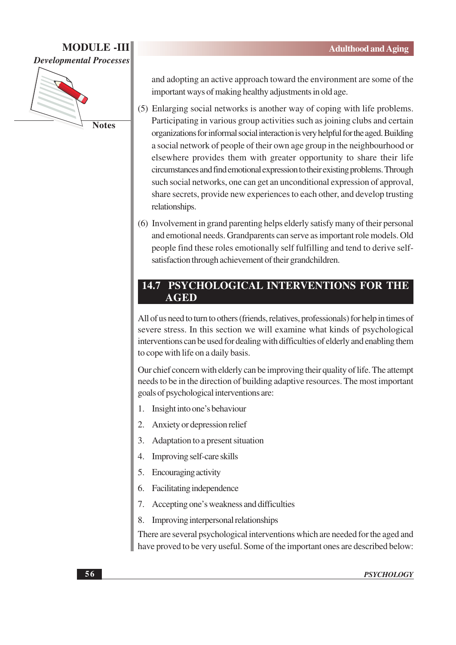

and adopting an active approach toward the environment are some of the important ways of making healthy adjustments in old age.

- (5) Enlarging social networks is another way of coping with life problems. Participating in various group activities such as joining clubs and certain organizations for informal social interaction is very helpful for the aged. Building a social network of people of their own age group in the neighbourhood or elsewhere provides them with greater opportunity to share their life circumstances and find emotional expression to their existing problems. Through such social networks, one can get an unconditional expression of approval. share secrets, provide new experiences to each other, and develop trusting relationships.
- (6) Involvement in grand parenting helps elderly satisfy many of their personal and emotional needs. Grandparents can serve as important role models. Old people find these roles emotionally self fulfilling and tend to derive selfsatisfaction through achievement of their grandchildren.

## **14.7 PSYCHOLOGICAL INTERVENTIONS FOR THE AGED**

All of us need to turn to others (friends, relatives, professionals) for help in times of severe stress. In this section we will examine what kinds of psychological interventions can be used for dealing with difficulties of elderly and enabling them to cope with life on a daily basis.

Our chief concern with elderly can be improving their quality of life. The attempt needs to be in the direction of building adaptive resources. The most important goals of psychological interventions are:

- Insight into one's behaviour  $1_{-}$
- $\overline{2}$ . Anxiety or depression relief
- Adaptation to a present situation 3.
- Improving self-care skills  $\overline{4}$ .
- Encouraging activity  $5.$
- Facilitating independence 6.
- Accepting one's weakness and difficulties 7.
- Improving interpersonal relationships 8.

There are several psychological interventions which are needed for the aged and have proved to be very useful. Some of the important ones are described below: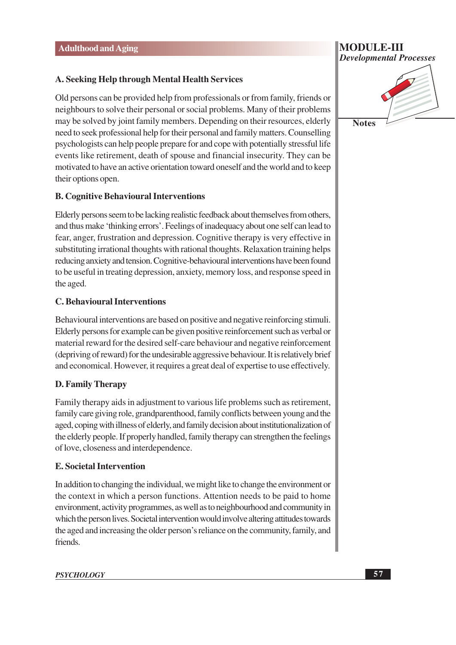### A. Seeking Help through Mental Health Services

Old persons can be provided help from professionals or from family, friends or neighbours to solve their personal or social problems. Many of their problems may be solved by joint family members. Depending on their resources, elderly need to seek professional help for their personal and family matters. Counselling psychologists can help people prepare for and cope with potentially stressful life events like retirement, death of spouse and financial insecurity. They can be motivated to have an active orientation toward oneself and the world and to keep their options open.

#### **B. Cognitive Behavioural Interventions**

Elderly persons seem to be lacking realistic feedback about themselves from others, and thus make 'thinking errors'. Feelings of inadequacy about one self can lead to fear, anger, frustration and depression. Cognitive therapy is very effective in substituting irrational thoughts with rational thoughts. Relaxation training helps reducing anxiety and tension. Cognitive-behavioural interventions have been found to be useful in treating depression, anxiety, memory loss, and response speed in the aged.

#### **C. Behavioural Interventions**

Behavioural interventions are based on positive and negative reinforcing stimuli. Elderly persons for example can be given positive reinforcement such as verbal or material reward for the desired self-care behaviour and negative reinforcement (depriving of reward) for the undesirable aggressive behaviour. It is relatively brief and economical. However, it requires a great deal of expertise to use effectively.

### **D. Family Therapy**

Family therapy aids in adjustment to various life problems such as retirement, family care giving role, grandparenthood, family conflicts between young and the aged, coping with illness of elderly, and family decision about institutionalization of the elderly people. If properly handled, family therapy can strengthen the feelings of love, closeness and interdependence.

#### **E. Societal Intervention**

In addition to changing the individual, we might like to change the environment or the context in which a person functions. Attention needs to be paid to home environment, activity programmes, as well as to neighbourhood and community in which the person lives. Societal intervention would involve altering attitudes towards the aged and increasing the older person's reliance on the community, family, and friends.



**MODULE-III** 

#### **PSYCHOLOGY**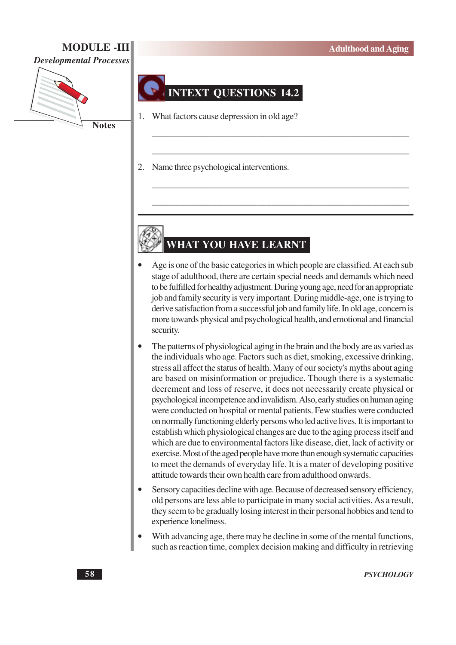## **MODULE -III**

**Developmental Processes** 

![](_page_13_Picture_3.jpeg)

**INTEXT QUESTIONS 14.2** 

What factors cause depression in old age?  $1_{-}$ 

 $2.$ Name three psychological interventions.

# WHAT YOU HAVE LEARNT

- Age is one of the basic categories in which people are classified. At each substage of adulthood, there are certain special needs and demands which need to be fulfilled for healthy adjustment. During young age, need for an appropriate job and family security is very important. During middle-age, one is trying to derive satisfaction from a successful job and family life. In old age, concern is more towards physical and psychological health, and emotional and financial security.
- The patterns of physiological aging in the brain and the body are as varied as the individuals who age. Factors such as diet, smoking, excessive drinking, stress all affect the status of health. Many of our society's myths about aging are based on misinformation or prejudice. Though there is a systematic decrement and loss of reserve, it does not necessarily create physical or psychological incompetence and invalidism. Also, early studies on human aging were conducted on hospital or mental patients. Few studies were conducted on normally functioning elderly persons who led active lives. It is important to establish which physiological changes are due to the aging process itself and which are due to environmental factors like disease, diet, lack of activity or exercise. Most of the aged people have more than enough systematic capacities to meet the demands of everyday life. It is a mater of developing positive attitude towards their own health care from adulthood onwards.
- Sensory capacities decline with age. Because of decreased sensory efficiency, old persons are less able to participate in many social activities. As a result, they seem to be gradually losing interest in their personal hobbies and tend to experience loneliness.
- With advancing age, there may be decline in some of the mental functions, such as reaction time, complex decision making and difficulty in retrieving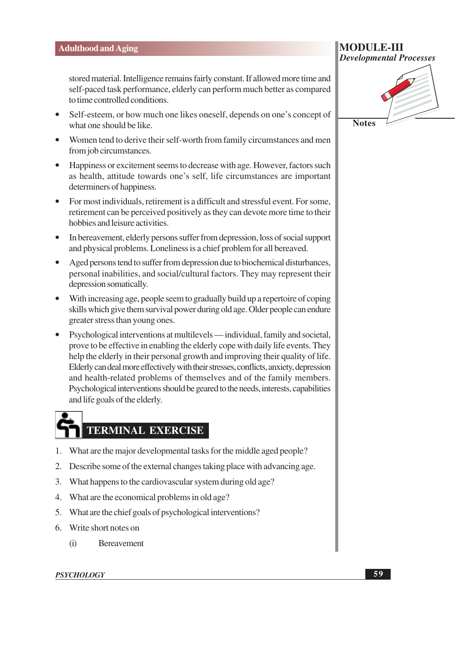stored material. Intelligence remains fairly constant. If allowed more time and self-paced task performance, elderly can perform much better as compared to time controlled conditions.

- Self-esteem, or how much one likes oneself, depends on one's concept of what one should be like.
- Women tend to derive their self-worth from family circumstances and men from job circumstances.
- Happiness or excitement seems to decrease with age. However, factors such as health, attitude towards one's self, life circumstances are important determiners of happiness.
- For most individuals, retirement is a difficult and stressful event. For some, retirement can be perceived positively as they can devote more time to their hobbies and leisure activities.
- In bereavement, elderly persons suffer from depression, loss of social support and physical problems. Loneliness is a chief problem for all bereaved.
- $\bullet$ Aged persons tend to suffer from depression due to biochemical disturbances, personal inabilities, and social/cultural factors. They may represent their depression somatically.
- With increasing age, people seem to gradually build up a repertoire of coping skills which give them survival power during old age. Older people can endure greater stress than young ones.
- Psychological interventions at multilevels individual, family and societal, prove to be effective in enabling the elderly cope with daily life events. They help the elderly in their personal growth and improving their quality of life. Elderly can deal more effectively with their stresses, conflicts, anxiety, depression and health-related problems of themselves and of the family members. Psychological interventions should be geared to the needs, interests, capabilities and life goals of the elderly.

# **TERMINAL EXERCISE**

- 1. What are the major developmental tasks for the middle aged people?
- 2. Describe some of the external changes taking place with advancing age.
- 3. What happens to the cardiovascular system during old age?
- 4. What are the economical problems in old age?
- 5. What are the chief goals of psychological interventions?
- 6. Write short notes on
	- $(i)$ **Bereavement**

#### **PSYCHOLOGY**

**MODULE-III Developmental Processes** 

![](_page_14_Picture_20.jpeg)